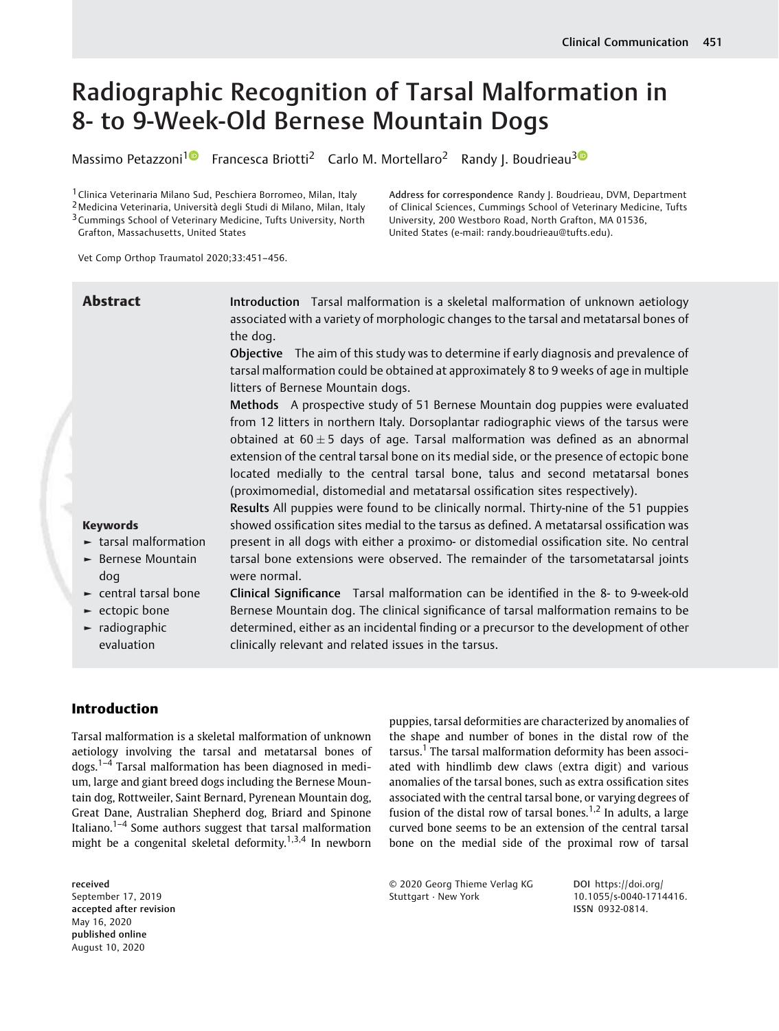# Radiographic Recognition of Tarsal Malformation in 8- to 9-Week-Old Bernese Mountain Dogs

Massimo Petazzoni<sup>10</sup> Francesca Briotti<sup>2</sup> Carlo M. Mortellaro<sup>2</sup> Randy J. Boudrieau<sup>30</sup>

1Clinica Veterinaria Milano Sud, Peschiera Borromeo, Milan, Italy

2Medicina Veterinaria, Università degli Studi di Milano, Milan, Italy 3Cummings School of Veterinary Medicine, Tufts University, North

Grafton, Massachusetts, United States

Address for correspondence Randy J. Boudrieau, DVM, Department of Clinical Sciences, Cummings School of Veterinary Medicine, Tufts University, 200 Westboro Road, North Grafton, MA 01536, United States (e-mail: [randy.boudrieau@tufts.edu](mailto:randy.boudrieau@tufts.edu)).

Vet Comp Orthop Traumatol 2020;33:451–456.

| <b>Abstract</b>                           | Introduction Tarsal malformation is a skeletal malformation of unknown aetiology         |
|-------------------------------------------|------------------------------------------------------------------------------------------|
|                                           | associated with a variety of morphologic changes to the tarsal and metatarsal bones of   |
|                                           | the dog.                                                                                 |
|                                           | Objective The aim of this study was to determine if early diagnosis and prevalence of    |
|                                           | tarsal malformation could be obtained at approximately 8 to 9 weeks of age in multiple   |
|                                           | litters of Bernese Mountain dogs.                                                        |
|                                           | Methods A prospective study of 51 Bernese Mountain dog puppies were evaluated            |
|                                           | from 12 litters in northern Italy. Dorsoplantar radiographic views of the tarsus were    |
|                                           | obtained at $60 \pm 5$ days of age. Tarsal malformation was defined as an abnormal       |
|                                           | extension of the central tarsal bone on its medial side, or the presence of ectopic bone |
|                                           | located medially to the central tarsal bone, talus and second metatarsal bones           |
|                                           | (proximomedial, distomedial and metatarsal ossification sites respectively).             |
|                                           | Results All puppies were found to be clinically normal. Thirty-nine of the 51 puppies    |
| <b>Keywords</b>                           | showed ossification sites medial to the tarsus as defined. A metatarsal ossification was |
| $\blacktriangleright$ tarsal malformation | present in all dogs with either a proximo- or distomedial ossification site. No central  |
| $\blacktriangleright$ Bernese Mountain    | tarsal bone extensions were observed. The remainder of the tarsometatarsal joints        |
| dog                                       | were normal.                                                                             |
| $\blacktriangleright$ central tarsal bone | Clinical Significance Tarsal malformation can be identified in the 8- to 9-week-old      |

- ► ectopic bone
- ► radiographic evaluation

Bernese Mountain dog. The clinical significance of tarsal malformation remains to be determined, either as an incidental finding or a precursor to the development of other clinically relevant and related issues in the tarsus.

# Introduction

Tarsal malformation is a skeletal malformation of unknown aetiology involving the tarsal and metatarsal bones of  $\log s$ .<sup>1–4</sup> Tarsal malformation has been diagnosed in medium, large and giant breed dogs including the Bernese Mountain dog, Rottweiler, Saint Bernard, Pyrenean Mountain dog, Great Dane, Australian Shepherd dog, Briard and Spinone Italiano. $1-4$  Some authors suggest that tarsal malformation might be a congenital skeletal deformity.<sup>1,3,4</sup> In newborn

received September 17, 2019 accepted after revision May 16, 2020 published online August 10, 2020

puppies, tarsal deformities are characterized by anomalies of the shape and number of bones in the distal row of the tarsus.<sup>1</sup> The tarsal malformation deformity has been associated with hindlimb dew claws (extra digit) and various anomalies of the tarsal bones, such as extra ossification sites associated with the central tarsal bone, or varying degrees of fusion of the distal row of tarsal bones.<sup>1,2</sup> In adults, a large curved bone seems to be an extension of the central tarsal bone on the medial side of the proximal row of tarsal

© 2020 Georg Thieme Verlag KG Stuttgart · New York

DOI [https://doi.org/](https://doi.org/10.1055/s-0040-1714416) [10.1055/s-0040-1714416](https://doi.org/10.1055/s-0040-1714416). ISSN 0932-0814.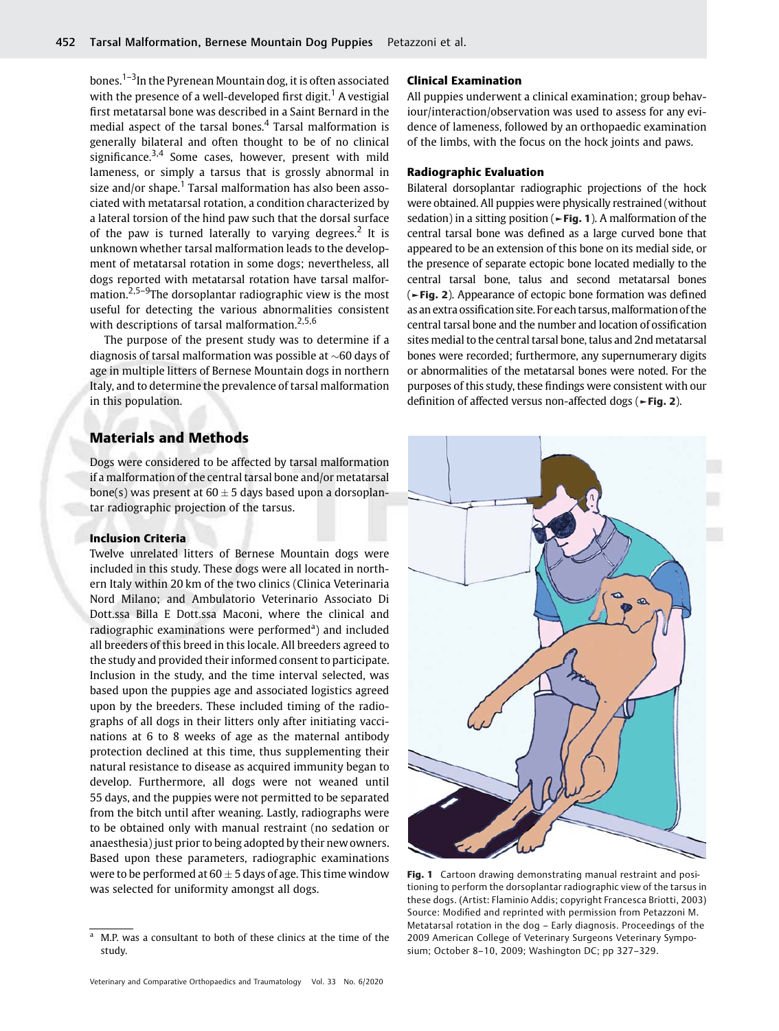bones.<sup>1–3</sup>In the Pyrenean Mountain dog, it is often associated with the presence of a well-developed first digit.<sup>1</sup> A vestigial first metatarsal bone was described in a Saint Bernard in the medial aspect of the tarsal bones.<sup>4</sup> Tarsal malformation is generally bilateral and often thought to be of no clinical significance.<sup>3,4</sup> Some cases, however, present with mild lameness, or simply a tarsus that is grossly abnormal in size and/or shape.<sup>1</sup> Tarsal malformation has also been associated with metatarsal rotation, a condition characterized by a lateral torsion of the hind paw such that the dorsal surface of the paw is turned laterally to varying degrees.<sup>2</sup> It is unknown whether tarsal malformation leads to the development of metatarsal rotation in some dogs; nevertheless, all dogs reported with metatarsal rotation have tarsal malformation.2,5–9The dorsoplantar radiographic view is the most useful for detecting the various abnormalities consistent with descriptions of tarsal malformation.<sup>2,5,6</sup>

The purpose of the present study was to determine if a diagnosis of tarsal malformation was possible at  $\sim$  60 days of age in multiple litters of Bernese Mountain dogs in northern Italy, and to determine the prevalence of tarsal malformation in this population.

## Materials and Methods

Dogs were considered to be affected by tarsal malformation if a malformation of the central tarsal bone and/or metatarsal bone(s) was present at  $60 \pm 5$  days based upon a dorsoplantar radiographic projection of the tarsus.

#### Inclusion Criteria

Twelve unrelated litters of Bernese Mountain dogs were included in this study. These dogs were all located in northern Italy within 20 km of the two clinics (Clinica Veterinaria Nord Milano; and Ambulatorio Veterinario Associato Di Dott.ssa Billa E Dott.ssa Maconi, where the clinical and radiographic examinations were performed<sup>a</sup>) and included all breeders of this breed in this locale. All breeders agreed to the study and provided their informed consent to participate. Inclusion in the study, and the time interval selected, was based upon the puppies age and associated logistics agreed upon by the breeders. These included timing of the radiographs of all dogs in their litters only after initiating vaccinations at 6 to 8 weeks of age as the maternal antibody protection declined at this time, thus supplementing their natural resistance to disease as acquired immunity began to develop. Furthermore, all dogs were not weaned until 55 days, and the puppies were not permitted to be separated from the bitch until after weaning. Lastly, radiographs were to be obtained only with manual restraint (no sedation or anaesthesia) just prior to being adopted by their new owners. Based upon these parameters, radiographic examinations were to be performed at  $60 \pm 5$  days of age. This time window was selected for uniformity amongst all dogs.

#### Clinical Examination

All puppies underwent a clinical examination; group behaviour/interaction/observation was used to assess for any evidence of lameness, followed by an orthopaedic examination of the limbs, with the focus on the hock joints and paws.

#### Radiographic Evaluation

Bilateral dorsoplantar radiographic projections of the hock were obtained. All puppies were physically restrained (without sedation) in a sitting position ( $\blacktriangleright$  Fig. 1). A malformation of the central tarsal bone was defined as a large curved bone that appeared to be an extension of this bone on its medial side, or the presence of separate ectopic bone located medially to the central tarsal bone, talus and second metatarsal bones (►Fig. 2). Appearance of ectopic bone formation was defined as an extra ossification site. For each tarsus, malformation of the central tarsal bone and the number and location of ossification sites medial to the central tarsal bone, talus and 2nd metatarsal bones were recorded; furthermore, any supernumerary digits or abnormalities of the metatarsal bones were noted. For the purposes of this study, these findings were consistent with our definition of affected versus non-affected dogs (►Fig. 2).



Fig. 1 Cartoon drawing demonstrating manual restraint and positioning to perform the dorsoplantar radiographic view of the tarsus in these dogs. (Artist: Flaminio Addis; copyright Francesca Briotti, 2003) Source: Modified and reprinted with permission from Petazzoni M. Metatarsal rotation in the dog – Early diagnosis. Proceedings of the 2009 American College of Veterinary Surgeons Veterinary Symposium; October 8–10, 2009; Washington DC; pp 327–329.

<sup>&</sup>lt;sup>a</sup> M.P. was a consultant to both of these clinics at the time of the study.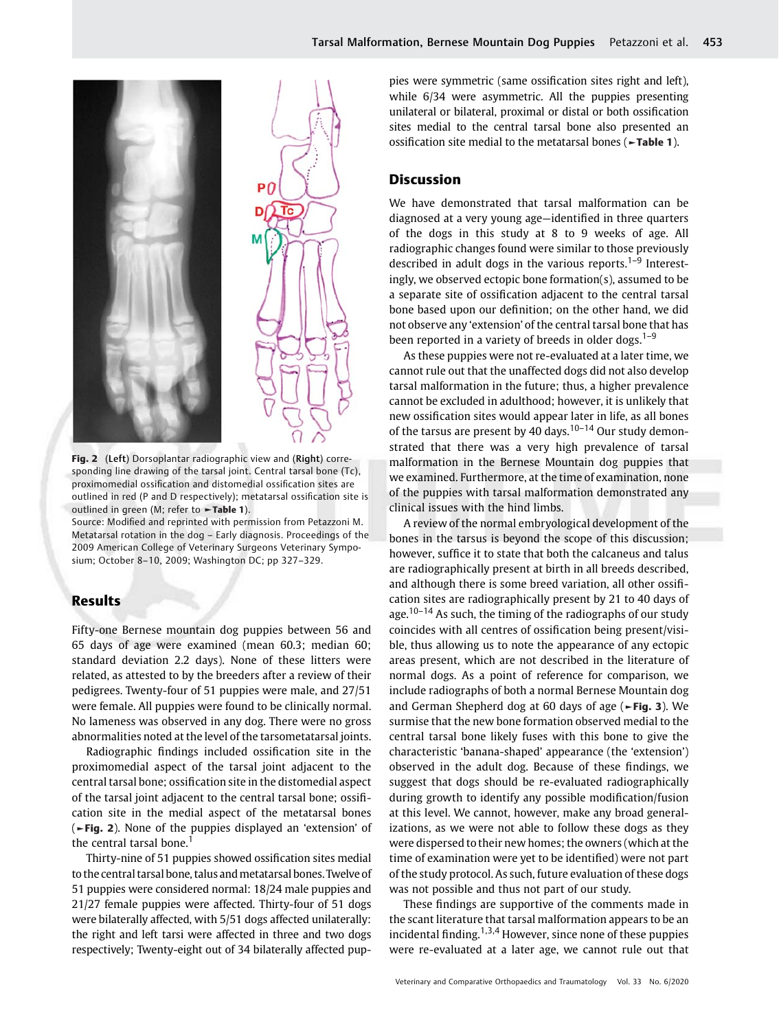

Fig. 2 (Left) Dorsoplantar radiographic view and (Right) corresponding line drawing of the tarsal joint. Central tarsal bone (Tc), proximomedial ossification and distomedial ossification sites are outlined in red (P and D respectively); metatarsal ossification site is outlined in green (M; refer to ►Table 1).

Source: Modified and reprinted with permission from Petazzoni M. Metatarsal rotation in the dog – Early diagnosis. Proceedings of the 2009 American College of Veterinary Surgeons Veterinary Symposium; October 8–10, 2009; Washington DC; pp 327–329.

## Results

Fifty-one Bernese mountain dog puppies between 56 and 65 days of age were examined (mean 60.3; median 60; standard deviation 2.2 days). None of these litters were related, as attested to by the breeders after a review of their pedigrees. Twenty-four of 51 puppies were male, and 27/51 were female. All puppies were found to be clinically normal. No lameness was observed in any dog. There were no gross abnormalities noted at the level of the tarsometatarsal joints.

Radiographic findings included ossification site in the proximomedial aspect of the tarsal joint adjacent to the central tarsal bone; ossification site in the distomedial aspect of the tarsal joint adjacent to the central tarsal bone; ossification site in the medial aspect of the metatarsal bones (►Fig. 2). None of the puppies displayed an 'extension' of the central tarsal bone.<sup>1</sup>

Thirty-nine of 51 puppies showed ossification sites medial to the central tarsal bone, talus and metatarsal bones. Twelve of 51 puppies were considered normal: 18/24 male puppies and 21/27 female puppies were affected. Thirty-four of 51 dogs were bilaterally affected, with 5/51 dogs affected unilaterally: the right and left tarsi were affected in three and two dogs respectively; Twenty-eight out of 34 bilaterally affected puppies were symmetric (same ossification sites right and left), while 6/34 were asymmetric. All the puppies presenting unilateral or bilateral, proximal or distal or both ossification sites medial to the central tarsal bone also presented an ossification site medial to the metatarsal bones (►Table 1).

## **Discussion**

We have demonstrated that tarsal malformation can be diagnosed at a very young age—identified in three quarters of the dogs in this study at 8 to 9 weeks of age. All radiographic changes found were similar to those previously described in adult dogs in the various reports.<sup>1–9</sup> Interestingly, we observed ectopic bone formation(s), assumed to be a separate site of ossification adjacent to the central tarsal bone based upon our definition; on the other hand, we did not observe any 'extension' of the central tarsal bone that has been reported in a variety of breeds in older dogs. $1-9$ 

As these puppies were not re-evaluated at a later time, we cannot rule out that the unaffected dogs did not also develop tarsal malformation in the future; thus, a higher prevalence cannot be excluded in adulthood; however, it is unlikely that new ossification sites would appear later in life, as all bones of the tarsus are present by 40 days. $10-14$  Our study demonstrated that there was a very high prevalence of tarsal malformation in the Bernese Mountain dog puppies that we examined. Furthermore, at the time of examination, none of the puppies with tarsal malformation demonstrated any clinical issues with the hind limbs.

A review of the normal embryological development of the bones in the tarsus is beyond the scope of this discussion; however, suffice it to state that both the calcaneus and talus are radiographically present at birth in all breeds described, and although there is some breed variation, all other ossification sites are radiographically present by 21 to 40 days of age.<sup>10-14</sup> As such, the timing of the radiographs of our study coincides with all centres of ossification being present/visible, thus allowing us to note the appearance of any ectopic areas present, which are not described in the literature of normal dogs. As a point of reference for comparison, we include radiographs of both a normal Bernese Mountain dog and German Shepherd dog at 60 days of age ( $\blacktriangleright$  Fig. 3). We surmise that the new bone formation observed medial to the central tarsal bone likely fuses with this bone to give the characteristic 'banana-shaped' appearance (the 'extension') observed in the adult dog. Because of these findings, we suggest that dogs should be re-evaluated radiographically during growth to identify any possible modification/fusion at this level. We cannot, however, make any broad generalizations, as we were not able to follow these dogs as they were dispersed to their new homes; the owners (which at the time of examination were yet to be identified) were not part of the study protocol. As such, future evaluation of these dogs was not possible and thus not part of our study.

These findings are supportive of the comments made in the scant literature that tarsal malformation appears to be an incidental finding.<sup>1,3,4</sup> However, since none of these puppies were re-evaluated at a later age, we cannot rule out that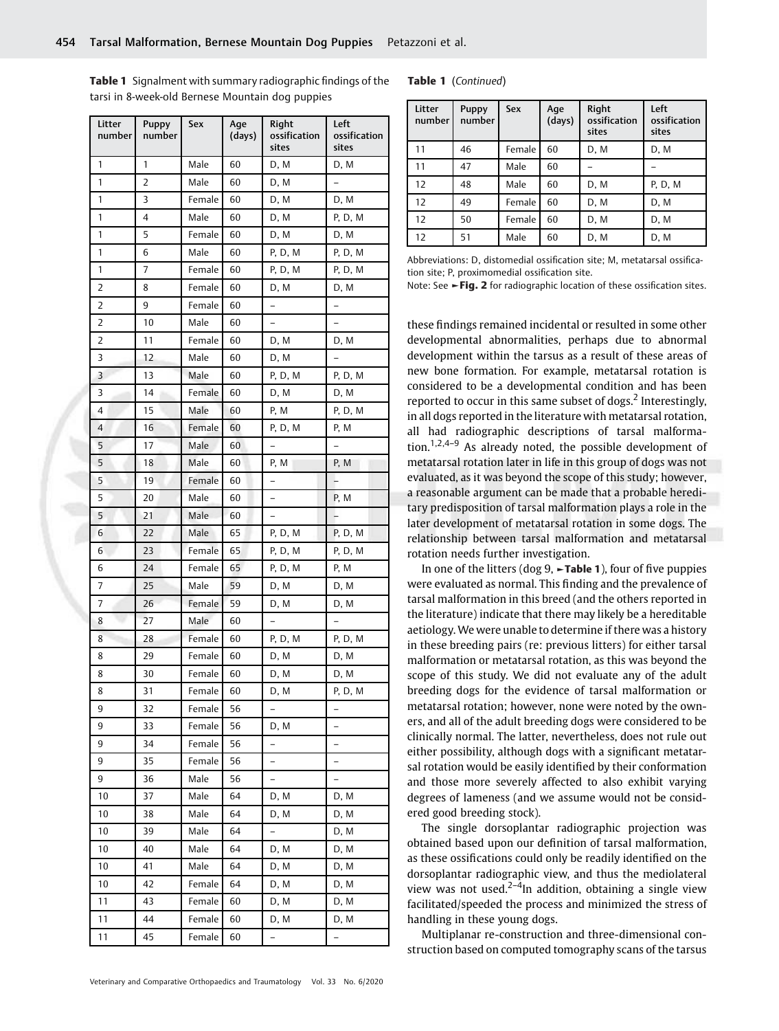Table 1 Signalment with summary radiographic findings of the tarsi in 8-week-old Bernese Mountain dog puppies

| Litter<br>number | Puppy<br>number | Sex    | Aqe<br>(days) | Right<br>ossification<br>sites | Left<br>ossification<br>sites |
|------------------|-----------------|--------|---------------|--------------------------------|-------------------------------|
| 1                | 1               | Male   | 60            | D, M                           | D, M                          |
| $\mathbf{1}$     | $\overline{2}$  | Male   | 60            | D, M                           | $\overline{a}$                |
| 1                | 3               | Female | 60            | D, M                           | D, M                          |
| 1                | 4               | Male   | 60            | D, M                           | P, D, M                       |
| 1                | 5               | Female | 60            | D, M                           | D, M                          |
| 1                | 6               | Male   | 60            | P, D, M                        | P, D, M                       |
| 1                | 7               | Female | 60            | P, D, M                        | P, D, M                       |
| 2                | 8               | Female | 60            | D, M                           | D, M                          |
| 2                | 9               | Female | 60            | $\overline{\phantom{0}}$       | -                             |
| 2                | 10              | Male   | 60            |                                |                               |
| $\overline{2}$   | 11              | Female | 60            | D, M                           | D, M                          |
| 3                | 12              | Male   | 60            | D, M                           |                               |
| 3                | 13              | Male   | 60            | P. D. M                        | P, D, M                       |
| 3                | 14              | Female | 60            | D, M                           | D, M                          |
| 4                | 15              | Male   | 60            | P, M                           | P, D, M                       |
| 4                | 16              | Female | 60            | P, D, M                        | P, M                          |
| 5                | 17              | Male   | 60            |                                | -                             |
| 5                | 18              | Male   | 60            | P, M                           | P, M                          |
| 5                | 19              | Female | 60            | -                              | -                             |
| 5                | 20              | Male   | 60            | -                              | P, M                          |
| 5                | 21              | Male   | 60            |                                | H                             |
| 6                | 22              | Male   | 65            | P, D, M                        | P, D, M                       |
| 6                | 23              | Female | 65            | P, D, M                        | P, D, M                       |
| 6                | 24              | Female | 65            | P, D, M                        | P, M                          |
| 7                | 25              | Male   | 59            | D, M                           | D, M                          |
| 7                | 26              | Female | 59            | D, M                           | D, M                          |
| 8                | 27              | Male   | 60            | $\overline{\phantom{0}}$       | $\overline{\phantom{0}}$      |
| 8                | 28              | Female | 60            | P, D, M                        | P, D, M                       |
| 8                | 29              | Female | 60            | D, M                           | D, M                          |
| 8                | 30              | Female | 60            | D, M                           | D, M                          |
| 8                | 31              | Female | 60            | D, M                           | P, D, M                       |
| 9                | 32              | Female | 56            |                                |                               |
| 9                | 33              | Female | 56            | D, M                           |                               |
| 9                | 34              | Female | 56            | <sup>-</sup>                   | <sup>-</sup>                  |
| 9                | 35              | Female | 56            |                                |                               |
| 9                | 36              | Male   | 56            |                                |                               |
| 10               | 37              | Male   | 64            | D, M                           | D, M                          |
| 10               | 38              | Male   | 64            | D, M                           | D, M                          |
| 10               | 39              | Male   | 64            |                                | D, M                          |
| 10               | 40              | Male   | 64            | D, M                           | D, M                          |
| 10               | 41              | Male   | 64            | D, M                           | D, M                          |
| 10               | 42              | Female | 64            | D, M                           | D, M                          |
| 11               | 43              | Female | 60            | D, M                           | D, M                          |
| 11               | 44              | Female | 60            | D, M                           | D, M                          |
| 11               | 45              | Female | 60            | -                              | -                             |

|  | Table 1 (Continued) |
|--|---------------------|
|--|---------------------|

| Litter<br>number | Puppy<br>number | Sex    | Age<br>(days) | Right<br>ossification<br>sites | Left<br>ossification<br>sites |
|------------------|-----------------|--------|---------------|--------------------------------|-------------------------------|
| 11               | 46              | Female | 60            | D, M                           | D, M                          |
| 11               | 47              | Male   | 60            |                                |                               |
| 12               | 48              | Male   | 60            | D, M                           | P, D, M                       |
| 12               | 49              | Female | 60            | D, M                           | D, M                          |
| 12               | 50              | Female | 60            | D, M                           | D, M                          |
| 12               | 51              | Male   | 60            | D, M                           | D, M                          |

Abbreviations: D, distomedial ossification site; M, metatarsal ossification site; P, proximomedial ossification site.

Note: See ►Fig. 2 for radiographic location of these ossification sites.

these findings remained incidental or resulted in some other developmental abnormalities, perhaps due to abnormal development within the tarsus as a result of these areas of new bone formation. For example, metatarsal rotation is considered to be a developmental condition and has been reported to occur in this same subset of dogs.<sup>2</sup> Interestingly, in all dogs reported in the literature with metatarsal rotation, all had radiographic descriptions of tarsal malformation.1,2,4–<sup>9</sup> As already noted, the possible development of metatarsal rotation later in life in this group of dogs was not evaluated, as it was beyond the scope of this study; however, a reasonable argument can be made that a probable hereditary predisposition of tarsal malformation plays a role in the later development of metatarsal rotation in some dogs. The relationship between tarsal malformation and metatarsal rotation needs further investigation.

In one of the litters (dog  $9$ ,  $\blacktriangleright$ Table 1), four of five puppies were evaluated as normal. This finding and the prevalence of tarsal malformation in this breed (and the others reported in the literature) indicate that there may likely be a hereditable aetiology. We were unable to determine if there was a history in these breeding pairs (re: previous litters) for either tarsal malformation or metatarsal rotation, as this was beyond the scope of this study. We did not evaluate any of the adult breeding dogs for the evidence of tarsal malformation or metatarsal rotation; however, none were noted by the owners, and all of the adult breeding dogs were considered to be clinically normal. The latter, nevertheless, does not rule out either possibility, although dogs with a significant metatarsal rotation would be easily identified by their conformation and those more severely affected to also exhibit varying degrees of lameness (and we assume would not be considered good breeding stock).

The single dorsoplantar radiographic projection was obtained based upon our definition of tarsal malformation, as these ossifications could only be readily identified on the dorsoplantar radiographic view, and thus the mediolateral view was not used.<sup>2-4</sup>In addition, obtaining a single view facilitated/speeded the process and minimized the stress of handling in these young dogs.

Multiplanar re-construction and three-dimensional construction based on computed tomography scans of the tarsus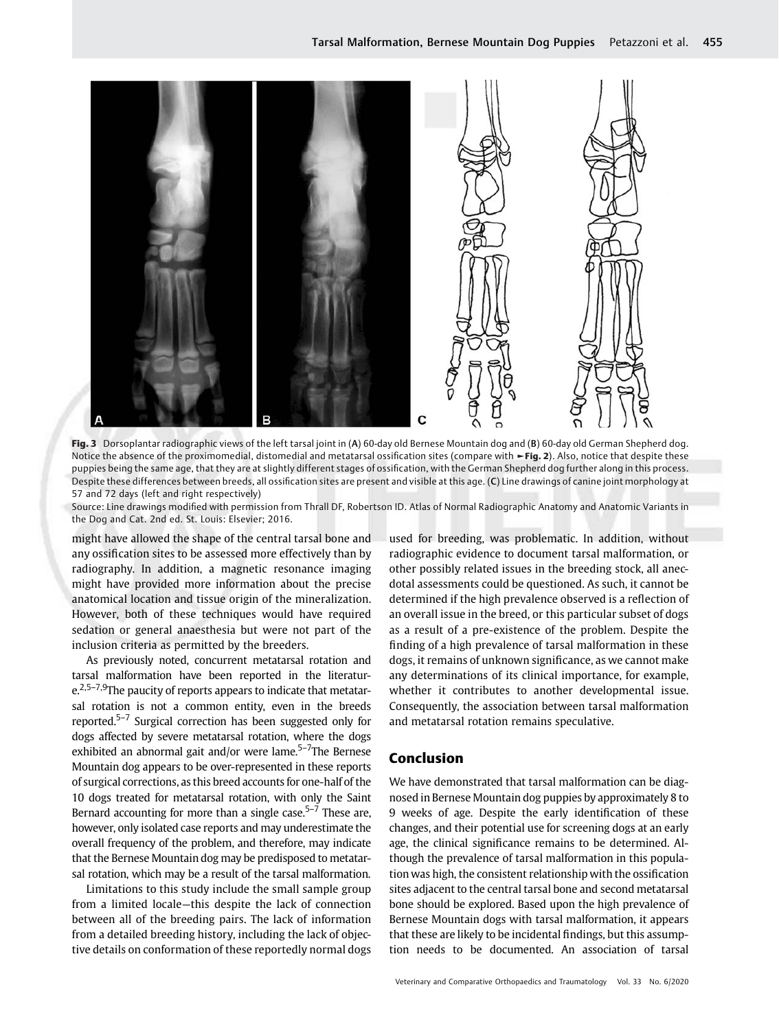

Fig. 3 Dorsoplantar radiographic views of the left tarsal joint in (A) 60-day old Bernese Mountain dog and (B) 60-day old German Shepherd dog. Notice the absence of the proximomedial, distomedial and metatarsal ossification sites (compare with ►Fig. 2). Also, notice that despite these puppies being the same age, that they are at slightly different stages of ossification, with the German Shepherd dog further along in this process. Despite these differences between breeds, all ossification sites are present and visible at this age. (C) Line drawings of canine joint morphology at 57 and 72 days (left and right respectively)

Source: Line drawings modified with permission from Thrall DF, Robertson ID. Atlas of Normal Radiographic Anatomy and Anatomic Variants in the Dog and Cat. 2nd ed. St. Louis: Elsevier; 2016.

might have allowed the shape of the central tarsal bone and any ossification sites to be assessed more effectively than by radiography. In addition, a magnetic resonance imaging might have provided more information about the precise anatomical location and tissue origin of the mineralization. However, both of these techniques would have required sedation or general anaesthesia but were not part of the inclusion criteria as permitted by the breeders.

As previously noted, concurrent metatarsal rotation and tarsal malformation have been reported in the literature.<sup>2,5-7,9</sup>The paucity of reports appears to indicate that metatarsal rotation is not a common entity, even in the breeds reported.5–<sup>7</sup> Surgical correction has been suggested only for dogs affected by severe metatarsal rotation, where the dogs exhibited an abnormal gait and/or were lame.<sup>5–7</sup>The Bernese Mountain dog appears to be over-represented in these reports of surgical corrections, as this breed accounts for one-half of the 10 dogs treated for metatarsal rotation, with only the Saint Bernard accounting for more than a single case. $5-7$  These are, however, only isolated case reports and may underestimate the overall frequency of the problem, and therefore, may indicate that the Bernese Mountain dog may be predisposed to metatarsal rotation, which may be a result of the tarsal malformation.

Limitations to this study include the small sample group from a limited locale—this despite the lack of connection between all of the breeding pairs. The lack of information from a detailed breeding history, including the lack of objective details on conformation of these reportedly normal dogs

used for breeding, was problematic. In addition, without radiographic evidence to document tarsal malformation, or other possibly related issues in the breeding stock, all anecdotal assessments could be questioned. As such, it cannot be determined if the high prevalence observed is a reflection of an overall issue in the breed, or this particular subset of dogs as a result of a pre-existence of the problem. Despite the finding of a high prevalence of tarsal malformation in these dogs, it remains of unknown significance, as we cannot make any determinations of its clinical importance, for example, whether it contributes to another developmental issue. Consequently, the association between tarsal malformation and metatarsal rotation remains speculative.

## Conclusion

We have demonstrated that tarsal malformation can be diagnosed in Bernese Mountain dog puppies by approximately 8 to 9 weeks of age. Despite the early identification of these changes, and their potential use for screening dogs at an early age, the clinical significance remains to be determined. Although the prevalence of tarsal malformation in this population was high, the consistent relationship with the ossification sites adjacent to the central tarsal bone and second metatarsal bone should be explored. Based upon the high prevalence of Bernese Mountain dogs with tarsal malformation, it appears that these are likely to be incidental findings, but this assumption needs to be documented. An association of tarsal